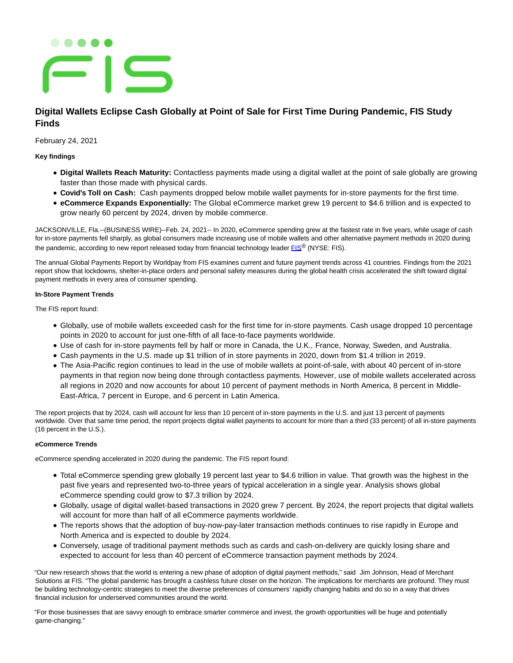# . . . . . **=IS**

## **Digital Wallets Eclipse Cash Globally at Point of Sale for First Time During Pandemic, FIS Study Finds**

February 24, 2021

**Key findings**

- **Digital Wallets Reach Maturity:** Contactless payments made using a digital wallet at the point of sale globally are growing faster than those made with physical cards.
- **Covid's Toll on Cash:** Cash payments dropped below mobile wallet payments for in-store payments for the first time.
- **eCommerce Expands Exponentially:** The Global eCommerce market grew 19 percent to \$4.6 trillion and is expected to grow nearly 60 percent by 2024, driven by mobile commerce.

JACKSONVILLE, Fla.--(BUSINESS WIRE)--Feb. 24, 2021-- In 2020, eCommerce spending grew at the fastest rate in five years, while usage of cash for in-store payments fell sharply, as global consumers made increasing use of mobile wallets and other alternative payment methods in 2020 during the pandemic, according to new report released today from financial technology leader  $EIS^{\circ}$  (NYSE: [FIS](https://cts.businesswire.com/ct/CT?id=smartlink&url=http%3A%2F%2Fwww.fisglobal.com&esheet=52383233&newsitemid=20210224005222&lan=en-US&anchor=FIS&index=1&md5=f28df64cac9f5d6aa6d1bf8f2e014f17)).

The annual Global Payments Report by Worldpay from FIS examines current and future payment trends across 41 countries. Findings from the 2021 report show that lockdowns, shelter-in-place orders and personal safety measures during the global health crisis accelerated the shift toward digital payment methods in every area of consumer spending.

### **In-Store Payment Trends**

The FIS report found:

- Globally, use of mobile wallets exceeded cash for the first time for in-store payments. Cash usage dropped 10 percentage points in 2020 to account for just one-fifth of all face-to-face payments worldwide.
- Use of cash for in-store payments fell by half or more in Canada, the U.K., France, Norway, Sweden, and Australia.
- Cash payments in the U.S. made up \$1 trillion of in store payments in 2020, down from \$1.4 trillion in 2019.
- The Asia-Pacific region continues to lead in the use of mobile wallets at point-of-sale, with about 40 percent of in-store payments in that region now being done through contactless payments. However, use of mobile wallets accelerated across all regions in 2020 and now accounts for about 10 percent of payment methods in North America, 8 percent in Middle-East-Africa, 7 percent in Europe, and 6 percent in Latin America.

The report projects that by 2024, cash will account for less than 10 percent of in-store payments in the U.S. and just 13 percent of payments worldwide. Over that same time period, the report projects digital wallet payments to account for more than a third (33 percent) of all in-store payments (16 percent in the U.S.).

#### **eCommerce Trends**

eCommerce spending accelerated in 2020 during the pandemic. The FIS report found:

- Total eCommerce spending grew globally 19 percent last year to \$4.6 trillion in value. That growth was the highest in the past five years and represented two-to-three years of typical acceleration in a single year. Analysis shows global eCommerce spending could grow to \$7.3 trillion by 2024.
- Globally, usage of digital wallet-based transactions in 2020 grew 7 percent. By 2024, the report projects that digital wallets will account for more than half of all eCommerce payments worldwide.
- The reports shows that the adoption of buy-now-pay-later transaction methods continues to rise rapidly in Europe and North America and is expected to double by 2024.
- Conversely, usage of traditional payment methods such as cards and cash-on-delivery are quickly losing share and expected to account for less than 40 percent of eCommerce transaction payment methods by 2024.

"Our new research shows that the world is entering a new phase of adoption of digital payment methods," said Jim Johnson, Head of Merchant Solutions at FIS. "The global pandemic has brought a cashless future closer on the horizon. The implications for merchants are profound. They must be building technology-centric strategies to meet the diverse preferences of consumers' rapidly changing habits and do so in a way that drives financial inclusion for underserved communities around the world.

"For those businesses that are savvy enough to embrace smarter commerce and invest, the growth opportunities will be huge and potentially game-changing."